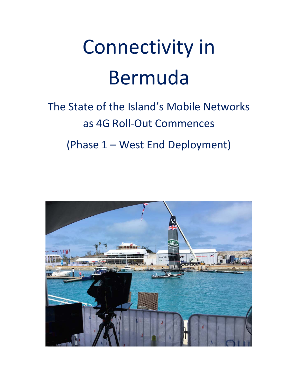# Connectivity in Bermuda

## The State of the Island's Mobile Networks as 4G Roll‐Out Commences (Phase 1 – West End Deployment)

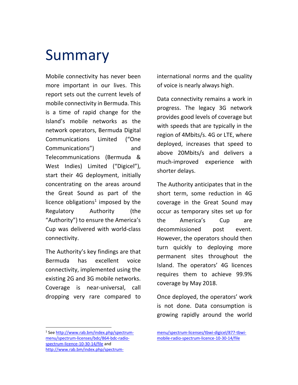### Summary

Mobile connectivity has never been more important in our lives. This report sets out the current levels of mobile connectivity in Bermuda. This is a time of rapid change for the Island's mobile networks as the network operators, Bermuda Digital Communications Limited ("One Communications") and Telecommunications (Bermuda & West Indies) Limited ("Digicel"), start their 4G deployment, initially concentrating on the areas around the Great Sound as part of the licence obligations<sup>1</sup> imposed by the Regulatory Authority (the "Authority") to ensure the America's Cup was delivered with world‐class connectivity.

The Authority's key findings are that Bermuda has excellent voice connectivity, implemented using the existing 2G and 3G mobile networks. Coverage is near‐universal, call dropping very rare compared to

<sup>1</sup> See http://www.rab.bm/index.php/spectrummenu/spectrum‐licenses/bdc/864‐bdc‐radio‐ spectrum‐licence‐10‐30‐14/file and http://www.rab.bm/index.php/spectrum‐

international norms and the quality of voice is nearly always high.

Data connectivity remains a work in progress. The legacy 3G network provides good levels of coverage but with speeds that are typically in the region of 4Mbits/s. 4G or LTE, where deployed, increases that speed to above 20Mbits/s and delivers a much‐improved experience with shorter delays.

The Authority anticipates that in the short term, some reduction in 4G coverage in the Great Sound may occur as temporary sites set up for the America's Cup are decommissioned post event. However, the operators should then turn quickly to deploying more permanent sites throughout the Island. The operators' 4G licences requires them to achieve 99.9% coverage by May 2018.

Once deployed, the operators' work is not done. Data consumption is growing rapidly around the world

menu/spectrum‐licenses/tbwi‐digicel/877‐tbwi‐ mobile‐radio‐spectrum‐licence‐10‐30‐14/file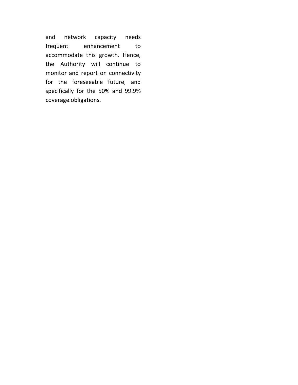and network capacity needs frequent enhancement to accommodate this growth. Hence, the Authority will continue to monitor and report on connectivity for the foreseeable future, and specifically for the 50% and 99.9% coverage obligations.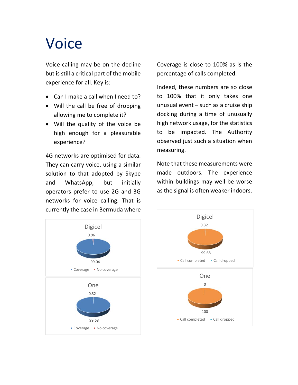## Voice

Voice calling may be on the decline but is still a critical part of the mobile experience for all. Key is:

- Can I make a call when I need to?
- Will the call be free of dropping allowing me to complete it?
- Will the quality of the voice be high enough for a pleasurable experience?

4G networks are optimised for data. They can carry voice, using a similar solution to that adopted by Skype and WhatsApp, but initially operators prefer to use 2G and 3G networks for voice calling. That is currently the case in Bermuda where

Coverage is close to 100% as is the percentage of calls completed.

Indeed, these numbers are so close to 100% that it only takes one unusual event – such as a cruise ship docking during a time of unusually high network usage, for the statistics to be impacted. The Authority observed just such a situation when measuring.

Note that these measurements were made outdoors. The experience within buildings may well be worse as the signal is often weaker indoors.



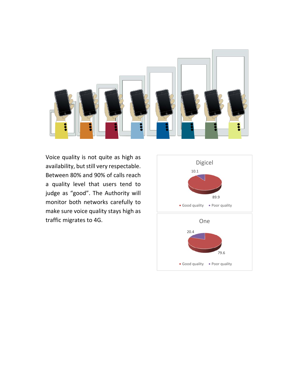

Voice quality is not quite as high as availability, but still very respectable. Between 80% and 90% of calls reach a quality level that users tend to judge as "good". The Authority will monitor both networks carefully to make sure voice quality stays high as traffic migrates to 4G.

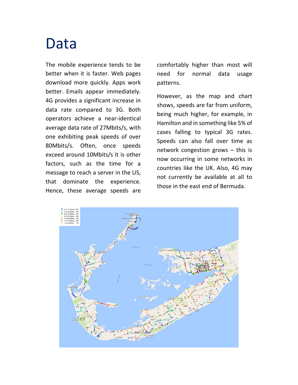### Data

The mobile experience tends to be better when it is faster. Web pages download more quickly. Apps work better. Emails appear immediately. 4G provides a significant increase in data rate compared to 3G. Both operators achieve a near‐identical average data rate of 27Mbits/s, with one exhibiting peak speeds of over 80Mbits/s. Often, once speeds exceed around 10Mbits/s it is other factors, such as the time for a message to reach a server in the US, that dominate the experience. Hence, these average speeds are

comfortably higher than most will need for normal data usage patterns.

However, as the map and chart shows, speeds are far from uniform, being much higher, for example, in Hamilton and in something like 5% of cases falling to typical 3G rates. Speeds can also fall over time as network congestion grows  $-$  this is now occurring in some networks in countries like the UK. Also, 4G may not currently be available at all to those in the east end of Bermuda.

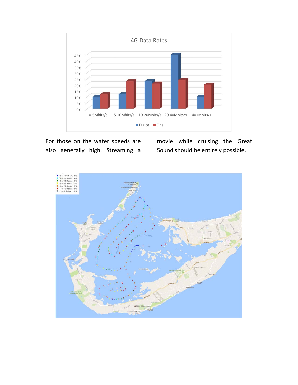

For those on the water speeds are also generally high. Streaming a movie while cruising the Great Sound should be entirely possible.

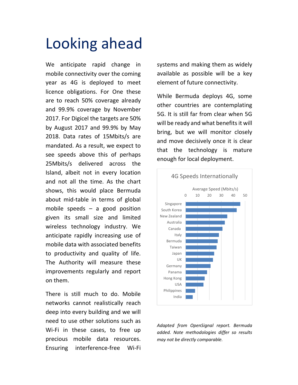## Looking ahead

We anticipate rapid change in mobile connectivity over the coming year as 4G is deployed to meet licence obligations. For One these are to reach 50% coverage already and 99.9% coverage by November 2017. For Digicel the targets are 50% by August 2017 and 99.9% by May 2018. Data rates of 15Mbits/s are mandated. As a result, we expect to see speeds above this of perhaps 25Mbits/s delivered across the Island, albeit not in every location and not all the time. As the chart shows, this would place Bermuda about mid‐table in terms of global mobile speeds  $-$  a good position given its small size and limited wireless technology industry. We anticipate rapidly increasing use of mobile data with associated benefits to productivity and quality of life. The Authority will measure these improvements regularly and report on them.

There is still much to do. Mobile networks cannot realistically reach deep into every building and we will need to use other solutions such as Wi-Fi in these cases, to free up precious mobile data resources. Ensuring interference‐free Wi‐Fi systems and making them as widely available as possible will be a key element of future connectivity.

While Bermuda deploys 4G, some other countries are contemplating 5G. It is still far from clear when 5G will be ready and what benefits it will bring, but we will monitor closely and move decisively once it is clear that the technology is mature enough for local deployment.